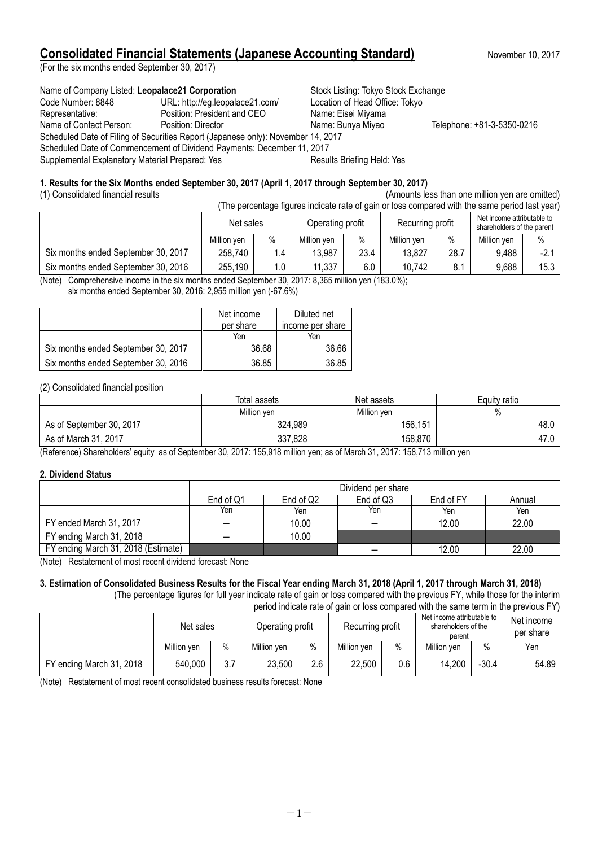## **Consolidated Financial Statements (Japanese Accounting Standard)** November 10, 2017

(For the six months ended September 30, 2017)

Name of Company Listed: Leopalace21 Corporation **Stock Listing: Tokyo Stock Exchange** Code Number: 8848 URL: http://eg.leopalace21.com/ Location of Head Office: Tokyo Representative: Position: President and CEO Name: Eisei Miyama Name of Contact Person: Position: Director Name: Bunya Miyao Telephone: +81-3-5350-0216 Scheduled Date of Filing of Securities Report (Japanese only): November 14, 2017 Scheduled Date of Commencement of Dividend Payments: December 11, 2017 Supplemental Explanatory Material Prepared: Yes **Results Briefing Held: Yes** Results Briefing Held: Yes

### **1. Results for the Six Months ended September 30, 2017 (April 1, 2017 through September 30, 2017)**

(1) Consolidated financial results (Amounts less than one million yen are omitted)

| (The percentage figures indicate rate of gain or loss compared with the same period last year) |             |      |                  |      |                  |      |                                                          |        |
|------------------------------------------------------------------------------------------------|-------------|------|------------------|------|------------------|------|----------------------------------------------------------|--------|
|                                                                                                | Net sales   |      | Operating profit |      | Recurring profit |      | Net income attributable to<br>shareholders of the parent |        |
|                                                                                                | Million yen | $\%$ | Million yen      | $\%$ | Million ven      | $\%$ | Million yen                                              | $\%$   |
| Six months ended September 30, 2017                                                            | 258,740     | 1.4  | 13,987           | 23.4 | 13,827           | 28.7 | 9,488                                                    | $-2.1$ |
| Six months ended September 30, 2016                                                            | 255,190     | 1.0  | 11,337           | 6.0  | 10.742           | 8.1  | 9,688                                                    | 15.3   |

(Note) Comprehensive income in the six months ended September 30, 2017: 8,365 million yen (183.0%);

six months ended September 30, 2016: 2,955 million yen (-67.6%)

|                                     | Net income | Diluted net      |
|-------------------------------------|------------|------------------|
|                                     | per share  | income per share |
|                                     | Yen        | Yen              |
| Six months ended September 30, 2017 | 36.68      | 36.66            |
| Six months ended September 30, 2016 | 36.85      | 36.85            |

### (2) Consolidated financial position

|                          | Total assets | Net assets  | Equity ratio |
|--------------------------|--------------|-------------|--------------|
|                          | Million yen  | Million yen | %            |
| As of September 30, 2017 | 324,989      | 156,151     | 48.0         |
| As of March 31, 2017     | 337,828      | 158,870     | 47.0         |

(Reference) Shareholders' equity as of September 30, 2017: 155,918 million yen; as of March 31, 2017: 158,713 million yen

### **2. Dividend Status**

|                                     |           | Dividend per share |           |           |        |  |  |
|-------------------------------------|-----------|--------------------|-----------|-----------|--------|--|--|
|                                     | End of Q1 | End of Q2          | End of Q3 | End of FY | Annual |  |  |
|                                     | Yen       | Yen                | Yen       | Yen       | Yen    |  |  |
| FY ended March 31, 2017             |           | 10.00              |           | 12.00     | 22.00  |  |  |
| FY ending March 31, 2018            |           | 10.00              |           |           |        |  |  |
| FY ending March 31, 2018 (Estimate) |           |                    |           | 12.00     | 22.00  |  |  |

(Note) Restatement of most recent dividend forecast: None

#### **3. Estimation of Consolidated Business Results for the Fiscal Year ending March 31, 2018 (April 1, 2017 through March 31, 2018)** (The percentage figures for full year indicate rate of gain or loss compared with the previous FY, while those for the interim

period indicate rate of gain or loss compared with the same term in the previous FY)

|                          | Net sales   |      | Operating profit |      | Recurring profit |      | Net income attributable to<br>shareholders of the<br>parent |         | Net income<br>per share |
|--------------------------|-------------|------|------------------|------|------------------|------|-------------------------------------------------------------|---------|-------------------------|
|                          | Million ven | $\%$ | Million yen      | $\%$ | Million ven      | $\%$ | Million yen                                                 | $\%$    | Yen                     |
| FY ending March 31, 2018 | 540,000     | 3.7  | 23,500           | 2.6  | 22,500           | 0.6  | 14,200                                                      | $-30.4$ | 54.89                   |

(Note) Restatement of most recent consolidated business results forecast: None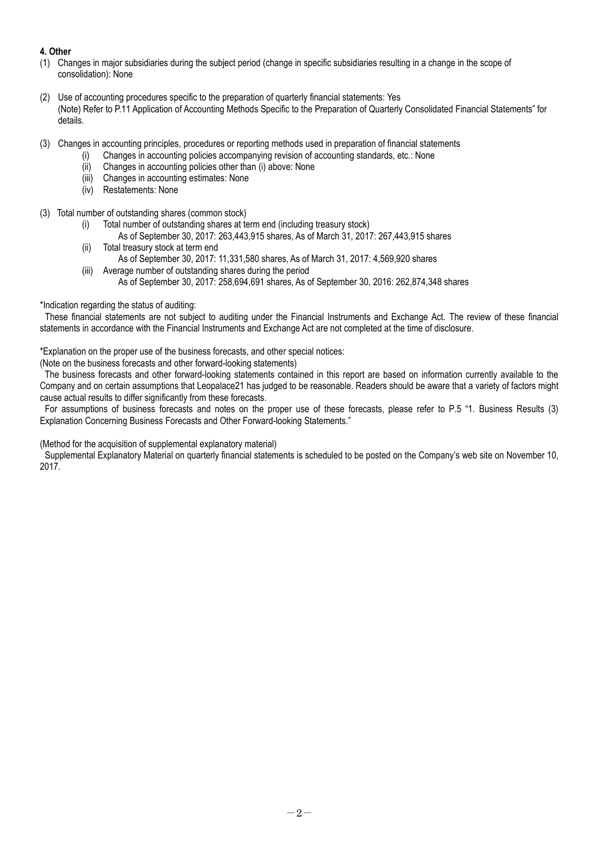## **4. Other**

- (1) Changes in major subsidiaries during the subject period (change in specific subsidiaries resulting in a change in the scope of consolidation): None
- (2) Use of accounting procedures specific to the preparation of quarterly financial statements: Yes (Note) Refer to P.11 Application of Accounting Methods Specific to the Preparation of Quarterly Consolidated Financial Statements" for details.
- (3) Changes in accounting principles, procedures or reporting methods used in preparation of financial statements
	- (i) Changes in accounting policies accompanying revision of accounting standards, etc.: None
		- (ii) Changes in accounting policies other than (i) above: None
		- (iii) Changes in accounting estimates: None
		- (iv) Restatements: None
- (3) Total number of outstanding shares (common stock)
	- (i) Total number of outstanding shares at term end (including treasury stock)
	- As of September 30, 2017: 263,443,915 shares, As of March 31, 2017: 267,443,915 shares (ii) Total treasury stock at term end
	- As of September 30, 2017: 11,331,580 shares, As of March 31, 2017: 4,569,920 shares
	- (iii) Average number of outstanding shares during the period As of September 30, 2017: 258,694,691 shares, As of September 30, 2016: 262,874,348 shares

\*Indication regarding the status of auditing:

These financial statements are not subject to auditing under the Financial Instruments and Exchange Act. The review of these financial statements in accordance with the Financial Instruments and Exchange Act are not completed at the time of disclosure.

\*Explanation on the proper use of the business forecasts, and other special notices:

(Note on the business forecasts and other forward-looking statements)

The business forecasts and other forward-looking statements contained in this report are based on information currently available to the Company and on certain assumptions that Leopalace21 has judged to be reasonable. Readers should be aware that a variety of factors might cause actual results to differ significantly from these forecasts.

For assumptions of business forecasts and notes on the proper use of these forecasts, please refer to P.5 "1. Business Results (3) Explanation Concerning Business Forecasts and Other Forward-looking Statements."

(Method for the acquisition of supplemental explanatory material)

Supplemental Explanatory Material on quarterly financial statements is scheduled to be posted on the Company's web site on November 10, 2017.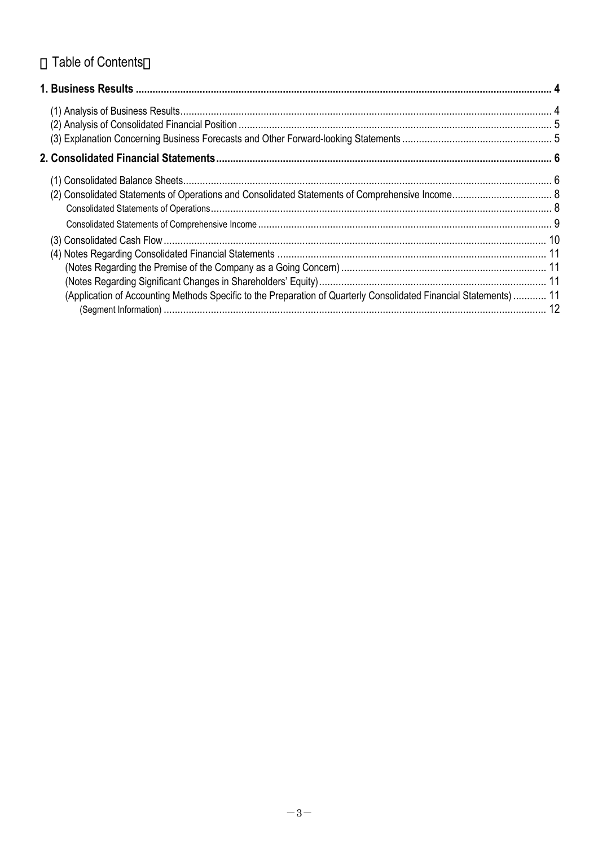# Table of Contents

| (Application of Accounting Methods Specific to the Preparation of Quarterly Consolidated Financial Statements)  11 |  |
|--------------------------------------------------------------------------------------------------------------------|--|
|                                                                                                                    |  |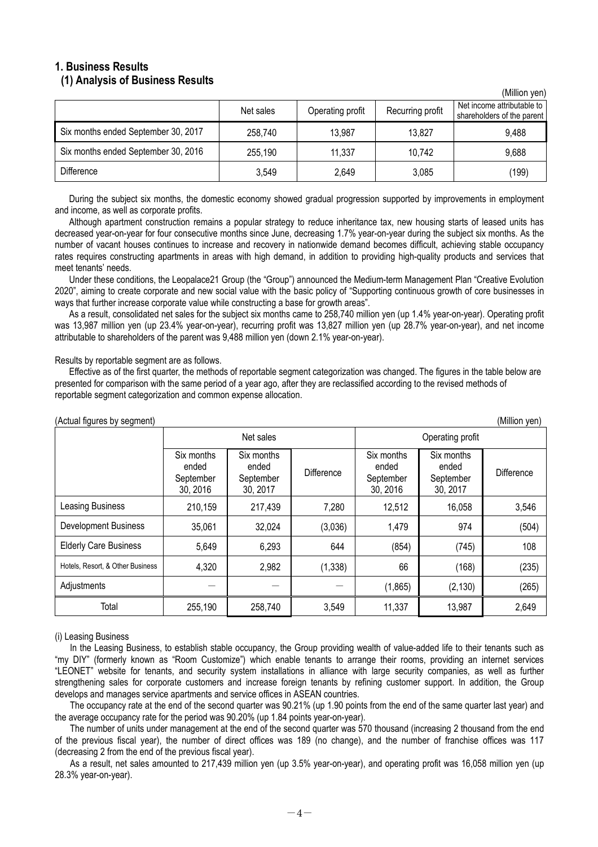### **1. Business Results (1) Analysis of Business Results**

|                                     | Net sales | Operating profit | Recurring profit | Net income attributable to<br>shareholders of the parent |
|-------------------------------------|-----------|------------------|------------------|----------------------------------------------------------|
| Six months ended September 30, 2017 | 258,740   | 13,987           | 13,827           | 9,488                                                    |
| Six months ended September 30, 2016 | 255,190   | 11.337           | 10,742           | 9,688                                                    |
| <b>Difference</b>                   | 3,549     | 2,649            | 3,085            | (199)                                                    |

 $(Million$  yon)

During the subject six months, the domestic economy showed gradual progression supported by improvements in employment and income, as well as corporate profits.

Although apartment construction remains a popular strategy to reduce inheritance tax, new housing starts of leased units has decreased year-on-year for four consecutive months since June, decreasing 1.7% year-on-year during the subject six months. As the number of vacant houses continues to increase and recovery in nationwide demand becomes difficult, achieving stable occupancy rates requires constructing apartments in areas with high demand, in addition to providing high-quality products and services that meet tenants' needs.

Under these conditions, the Leopalace21 Group (the "Group") announced the Medium-term Management Plan "Creative Evolution 2020", aiming to create corporate and new social value with the basic policy of "Supporting continuous growth of core businesses in ways that further increase corporate value while constructing a base for growth areas".

As a result, consolidated net sales for the subject six months came to 258,740 million yen (up 1.4% year-on-year). Operating profit was 13,987 million yen (up 23.4% year-on-year), recurring profit was 13,827 million yen (up 28.7% year-on-year), and net income attributable to shareholders of the parent was 9,488 million yen (down 2.1% year-on-year).

Results by reportable segment are as follows.

Effective as of the first quarter, the methods of reportable segment categorization was changed. The figures in the table below are presented for comparison with the same period of a year ago, after they are reclassified according to the revised methods of reportable segment categorization and common expense allocation.

| Actual figures by segment)<br>(IVIIIIION YEN) |                                              |                                              |            |                                              |                                              |            |  |
|-----------------------------------------------|----------------------------------------------|----------------------------------------------|------------|----------------------------------------------|----------------------------------------------|------------|--|
|                                               | Net sales                                    |                                              |            | Operating profit                             |                                              |            |  |
|                                               | Six months<br>ended<br>September<br>30, 2016 | Six months<br>ended<br>September<br>30, 2017 | Difference | Six months<br>ended<br>September<br>30, 2016 | Six months<br>ended<br>September<br>30, 2017 | Difference |  |
| Leasing Business                              | 210,159                                      | 217,439                                      | 7,280      | 12,512                                       | 16,058                                       | 3,546      |  |
| <b>Development Business</b>                   | 35,061                                       | 32,024                                       | (3,036)    | 1,479                                        | 974                                          | (504)      |  |
| <b>Elderly Care Business</b>                  | 5,649                                        | 6,293                                        | 644        | (854)                                        | (745)                                        | 108        |  |
| Hotels, Resort, & Other Business              | 4,320                                        | 2,982                                        | (1, 338)   | 66                                           | (168)                                        | (235)      |  |
| Adjustments                                   |                                              |                                              |            | (1, 865)                                     | (2, 130)                                     | (265)      |  |
| Total                                         | 255,190                                      | 258,740                                      | 3,549      | 11,337                                       | 13,987                                       | 2,649      |  |

 $\Delta$  (Actual figures by segment) (Million yen)

#### (i) Leasing Business

In the Leasing Business, to establish stable occupancy, the Group providing wealth of value-added life to their tenants such as "my DIY" (formerly known as "Room Customize") which enable tenants to arrange their rooms, providing an internet services "LEONET" website for tenants, and security system installations in alliance with large security companies, as well as further strengthening sales for corporate customers and increase foreign tenants by refining customer support. In addition, the Group develops and manages service apartments and service offices in ASEAN countries.

The occupancy rate at the end of the second quarter was 90.21% (up 1.90 points from the end of the same quarter last year) and the average occupancy rate for the period was 90.20% (up 1.84 points year-on-year).

The number of units under management at the end of the second quarter was 570 thousand (increasing 2 thousand from the end of the previous fiscal year), the number of direct offices was 189 (no change), and the number of franchise offices was 117 (decreasing 2 from the end of the previous fiscal year).

As a result, net sales amounted to 217,439 million yen (up 3.5% year-on-year), and operating profit was 16,058 million yen (up 28.3% year-on-year).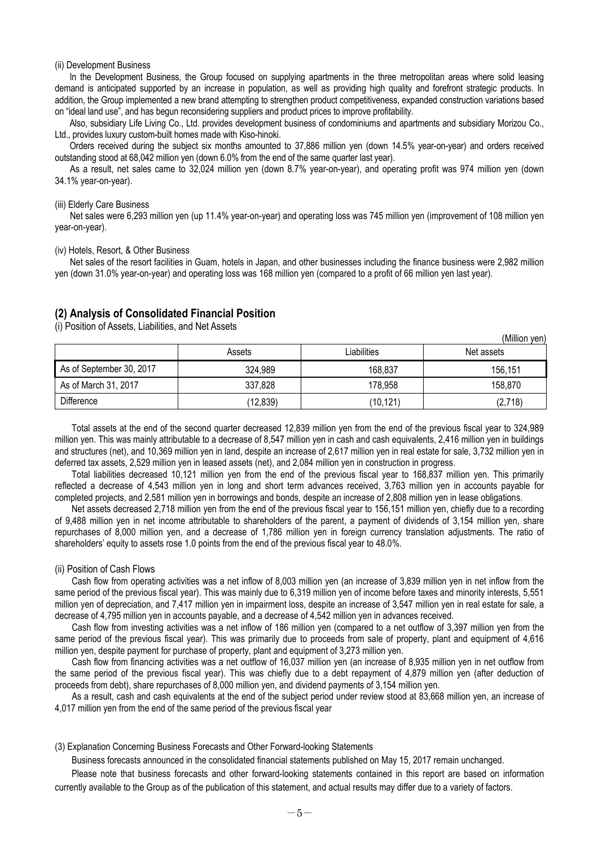#### (ii) Development Business

In the Development Business, the Group focused on supplying apartments in the three metropolitan areas where solid leasing demand is anticipated supported by an increase in population, as well as providing high quality and forefront strategic products. In addition, the Group implemented a new brand attempting to strengthen product competitiveness, expanded construction variations based on "ideal land use", and has begun reconsidering suppliers and product prices to improve profitability.

Also, subsidiary Life Living Co., Ltd. provides development business of condominiums and apartments and subsidiary Morizou Co., Ltd., provides luxury custom-built homes made with Kiso-hinoki.

Orders received during the subject six months amounted to 37,886 million yen (down 14.5% year-on-year) and orders received outstanding stood at 68,042 million yen (down 6.0% from the end of the same quarter last year).

As a result, net sales came to 32,024 million yen (down 8.7% year-on-year), and operating profit was 974 million yen (down 34.1% year-on-year).

#### (iii) Elderly Care Business

Net sales were 6,293 million yen (up 11.4% year-on-year) and operating loss was 745 million yen (improvement of 108 million yen year-on-year).

#### (iv) Hotels, Resort, & Other Business

Net sales of the resort facilities in Guam, hotels in Japan, and other businesses including the finance business were 2,982 million yen (down 31.0% year-on-year) and operating loss was 168 million yen (compared to a profit of 66 million yen last year).

### **(2) Analysis of Consolidated Financial Position**

(i) Position of Assets, Liabilities, and Net Assets

|                          | Assets    | Liabilities | Net assets |
|--------------------------|-----------|-------------|------------|
| As of September 30, 2017 | 324,989   | 168,837     | 156,151    |
| As of March 31, 2017     | 337,828   | 178,958     | 158,870    |
| Difference               | (12, 839) | (10, 121)   | (2,718)    |

(Million yen)

Total assets at the end of the second quarter decreased 12,839 million yen from the end of the previous fiscal year to 324,989 million yen. This was mainly attributable to a decrease of 8,547 million yen in cash and cash equivalents, 2,416 million yen in buildings and structures (net), and 10,369 million yen in land, despite an increase of 2,617 million yen in real estate for sale, 3,732 million yen in deferred tax assets, 2,529 million yen in leased assets (net), and 2,084 million yen in construction in progress.

Total liabilities decreased 10,121 million yen from the end of the previous fiscal year to 168,837 million yen. This primarily reflected a decrease of 4,543 million yen in long and short term advances received, 3,763 million yen in accounts payable for completed projects, and 2,581 million yen in borrowings and bonds, despite an increase of 2,808 million yen in lease obligations.

Net assets decreased 2,718 million yen from the end of the previous fiscal year to 156,151 million yen, chiefly due to a recording of 9,488 million yen in net income attributable to shareholders of the parent, a payment of dividends of 3,154 million yen, share repurchases of 8,000 million yen, and a decrease of 1,786 million yen in foreign currency translation adjustments. The ratio of shareholders' equity to assets rose 1.0 points from the end of the previous fiscal year to 48.0%.

#### (ii) Position of Cash Flows

Cash flow from operating activities was a net inflow of 8,003 million yen (an increase of 3,839 million yen in net inflow from the same period of the previous fiscal year). This was mainly due to 6,319 million yen of income before taxes and minority interests, 5,551 million yen of depreciation, and 7,417 million yen in impairment loss, despite an increase of 3,547 million yen in real estate for sale, a decrease of 4,795 million yen in accounts payable, and a decrease of 4,542 million yen in advances received.

Cash flow from investing activities was a net inflow of 186 million yen (compared to a net outflow of 3,397 million yen from the same period of the previous fiscal year). This was primarily due to proceeds from sale of property, plant and equipment of 4,616 million yen, despite payment for purchase of property, plant and equipment of 3,273 million yen.

Cash flow from financing activities was a net outflow of 16,037 million yen (an increase of 8,935 million yen in net outflow from the same period of the previous fiscal year). This was chiefly due to a debt repayment of 4,879 million yen (after deduction of proceeds from debt), share repurchases of 8,000 million yen, and dividend payments of 3,154 million yen.

As a result, cash and cash equivalents at the end of the subject period under review stood at 83,668 million yen, an increase of 4,017 million yen from the end of the same period of the previous fiscal year

(3) Explanation Concerning Business Forecasts and Other Forward-looking Statements

Business forecasts announced in the consolidated financial statements published on May 15, 2017 remain unchanged.

Please note that business forecasts and other forward-looking statements contained in this report are based on information currently available to the Group as of the publication of this statement, and actual results may differ due to a variety of factors.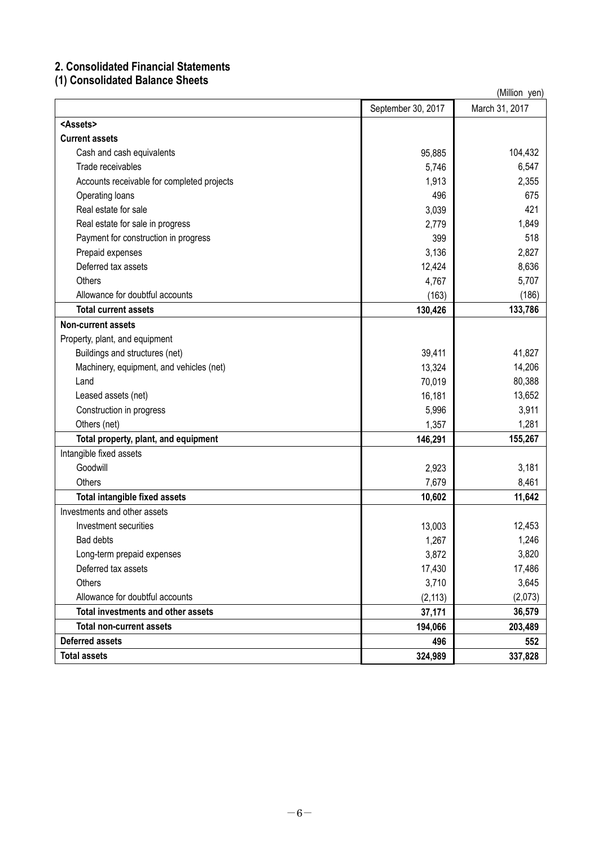## **2. Consolidated Financial Statements**

## **(1) Consolidated Balance Sheets**

| (Million yen)                              |                    |                |  |
|--------------------------------------------|--------------------|----------------|--|
|                                            | September 30, 2017 | March 31, 2017 |  |
| <assets></assets>                          |                    |                |  |
| <b>Current assets</b>                      |                    |                |  |
| Cash and cash equivalents                  | 95,885             | 104,432        |  |
| Trade receivables                          | 5,746              | 6,547          |  |
| Accounts receivable for completed projects | 1,913              | 2,355          |  |
| Operating loans                            | 496                | 675            |  |
| Real estate for sale                       | 3,039              | 421            |  |
| Real estate for sale in progress           | 2,779              | 1,849          |  |
| Payment for construction in progress       | 399                | 518            |  |
| Prepaid expenses                           | 3,136              | 2,827          |  |
| Deferred tax assets                        | 12,424             | 8,636          |  |
| <b>Others</b>                              | 4,767              | 5,707          |  |
| Allowance for doubtful accounts            | (163)              | (186)          |  |
| <b>Total current assets</b>                | 130,426            | 133,786        |  |
| <b>Non-current assets</b>                  |                    |                |  |
| Property, plant, and equipment             |                    |                |  |
| Buildings and structures (net)             | 39,411             | 41,827         |  |
| Machinery, equipment, and vehicles (net)   | 13,324             | 14,206         |  |
| Land                                       | 70,019             | 80,388         |  |
| Leased assets (net)                        | 16,181             | 13,652         |  |
| Construction in progress                   | 5,996              | 3,911          |  |
| Others (net)                               | 1,357              | 1,281          |  |
| Total property, plant, and equipment       | 146,291            | 155,267        |  |
| Intangible fixed assets                    |                    |                |  |
| Goodwill                                   | 2,923              | 3,181          |  |
| Others                                     | 7,679              | 8,461          |  |
| <b>Total intangible fixed assets</b>       | 10,602             | 11,642         |  |
| Investments and other assets               |                    |                |  |
| Investment securities                      | 13,003             | 12,453         |  |
| Bad debts                                  | 1,267              | 1,246          |  |
| Long-term prepaid expenses                 | 3,872              | 3,820          |  |
| Deferred tax assets                        | 17,430             | 17,486         |  |
| Others                                     | 3,710              | 3,645          |  |
| Allowance for doubtful accounts            | (2, 113)           | (2,073)        |  |
| Total investments and other assets         | 37,171             | 36,579         |  |
| <b>Total non-current assets</b>            | 194,066            | 203,489        |  |
| <b>Deferred assets</b>                     | 496                | 552            |  |
| <b>Total assets</b>                        | 324,989            | 337,828        |  |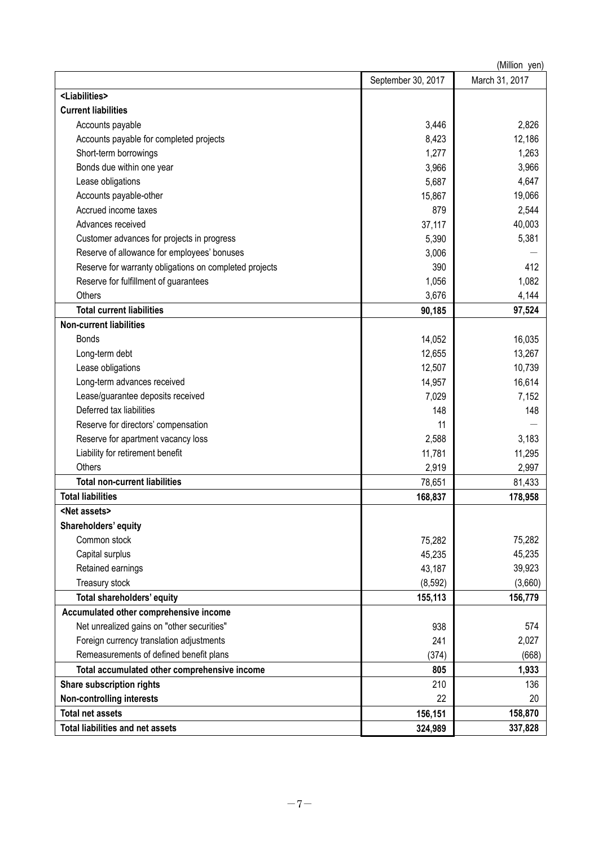| (Million yen)                                          |                    |                |  |
|--------------------------------------------------------|--------------------|----------------|--|
|                                                        | September 30, 2017 | March 31, 2017 |  |
| <liabilities></liabilities>                            |                    |                |  |
| <b>Current liabilities</b>                             |                    |                |  |
| Accounts payable                                       | 3,446              | 2,826          |  |
| Accounts payable for completed projects                | 8,423              | 12,186         |  |
| Short-term borrowings                                  | 1,277              | 1,263          |  |
| Bonds due within one year                              | 3,966              | 3,966          |  |
| Lease obligations                                      | 5,687              | 4,647          |  |
| Accounts payable-other                                 | 15,867             | 19,066         |  |
| Accrued income taxes                                   | 879                | 2,544          |  |
| Advances received                                      | 37,117             | 40,003         |  |
| Customer advances for projects in progress             | 5,390              | 5,381          |  |
| Reserve of allowance for employees' bonuses            | 3,006              |                |  |
| Reserve for warranty obligations on completed projects | 390                | 412            |  |
| Reserve for fulfillment of guarantees                  | 1,056              | 1,082          |  |
| <b>Others</b>                                          | 3,676              | 4,144          |  |
| <b>Total current liabilities</b>                       | 90,185             | 97,524         |  |
| <b>Non-current liabilities</b>                         |                    |                |  |
| <b>Bonds</b>                                           | 14,052             | 16,035         |  |
| Long-term debt                                         | 12,655             | 13,267         |  |
| Lease obligations                                      | 12,507             | 10,739         |  |
| Long-term advances received                            | 14,957             | 16,614         |  |
| Lease/guarantee deposits received                      | 7,029              | 7,152          |  |
| Deferred tax liabilities                               | 148                | 148            |  |
| Reserve for directors' compensation                    | 11                 |                |  |
| Reserve for apartment vacancy loss                     | 2,588              | 3,183          |  |
| Liability for retirement benefit                       | 11,781             | 11,295         |  |
| Others                                                 | 2,919              | 2,997          |  |
| <b>Total non-current liabilities</b>                   | 78,651             | 81,433         |  |
| <b>Total liabilities</b>                               | 168,837            | 178,958        |  |
| <net assets=""></net>                                  |                    |                |  |
| Shareholders' equity                                   |                    |                |  |
| Common stock                                           | 75,282             | 75,282         |  |
| Capital surplus                                        | 45,235             | 45,235         |  |
| Retained earnings                                      | 43,187             | 39,923         |  |
| Treasury stock                                         | (8, 592)           | (3,660)        |  |
| Total shareholders' equity                             | 155,113            | 156,779        |  |
| Accumulated other comprehensive income                 |                    |                |  |
| Net unrealized gains on "other securities"             | 938                | 574            |  |
| Foreign currency translation adjustments               | 241                | 2,027          |  |
| Remeasurements of defined benefit plans                | (374)              | (668)          |  |
| Total accumulated other comprehensive income           | 805                | 1,933          |  |
| Share subscription rights                              | 210                | 136            |  |
| <b>Non-controlling interests</b>                       | 22                 | 20             |  |
| <b>Total net assets</b>                                | 156,151            | 158,870        |  |
| <b>Total liabilities and net assets</b>                | 324,989            | 337,828        |  |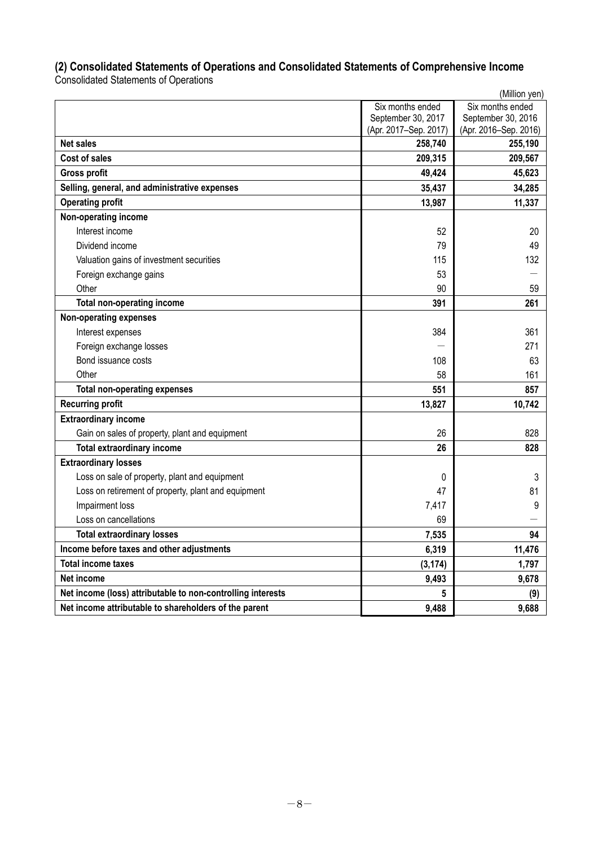## **(2) Consolidated Statements of Operations and Consolidated Statements of Comprehensive Income**

Consolidated Statements of Operations

|                                                             |                       | (Million yen)         |
|-------------------------------------------------------------|-----------------------|-----------------------|
|                                                             | Six months ended      | Six months ended      |
|                                                             | September 30, 2017    | September 30, 2016    |
|                                                             | (Apr. 2017-Sep. 2017) | (Apr. 2016-Sep. 2016) |
| <b>Net sales</b>                                            | 258,740               | 255,190               |
| <b>Cost of sales</b>                                        | 209,315               | 209,567               |
| <b>Gross profit</b>                                         | 49,424                | 45,623                |
| Selling, general, and administrative expenses               | 35,437                | 34,285                |
| <b>Operating profit</b>                                     | 13,987                | 11,337                |
| Non-operating income                                        |                       |                       |
| Interest income                                             | 52                    | 20                    |
| Dividend income                                             | 79                    | 49                    |
| Valuation gains of investment securities                    | 115                   | 132                   |
| Foreign exchange gains                                      | 53                    |                       |
| Other                                                       | 90                    | 59                    |
| <b>Total non-operating income</b>                           | 391                   | 261                   |
| <b>Non-operating expenses</b>                               |                       |                       |
| Interest expenses                                           | 384                   | 361                   |
| Foreign exchange losses                                     |                       | 271                   |
| Bond issuance costs                                         | 108                   | 63                    |
| Other                                                       | 58                    | 161                   |
| <b>Total non-operating expenses</b>                         | 551                   | 857                   |
| <b>Recurring profit</b>                                     | 13,827                | 10,742                |
| <b>Extraordinary income</b>                                 |                       |                       |
| Gain on sales of property, plant and equipment              | 26                    | 828                   |
| <b>Total extraordinary income</b>                           | 26                    | 828                   |
| <b>Extraordinary losses</b>                                 |                       |                       |
| Loss on sale of property, plant and equipment               | 0                     | 3                     |
| Loss on retirement of property, plant and equipment         | 47                    | 81                    |
| Impairment loss                                             | 7,417                 | 9                     |
| Loss on cancellations                                       | 69                    |                       |
| <b>Total extraordinary losses</b>                           | 7,535                 | 94                    |
| Income before taxes and other adjustments                   | 6,319                 | 11,476                |
| <b>Total income taxes</b>                                   | (3, 174)              | 1,797                 |
| Net income                                                  | 9,493                 | 9,678                 |
| Net income (loss) attributable to non-controlling interests | 5                     | (9)                   |
| Net income attributable to shareholders of the parent       | 9,488                 | 9,688                 |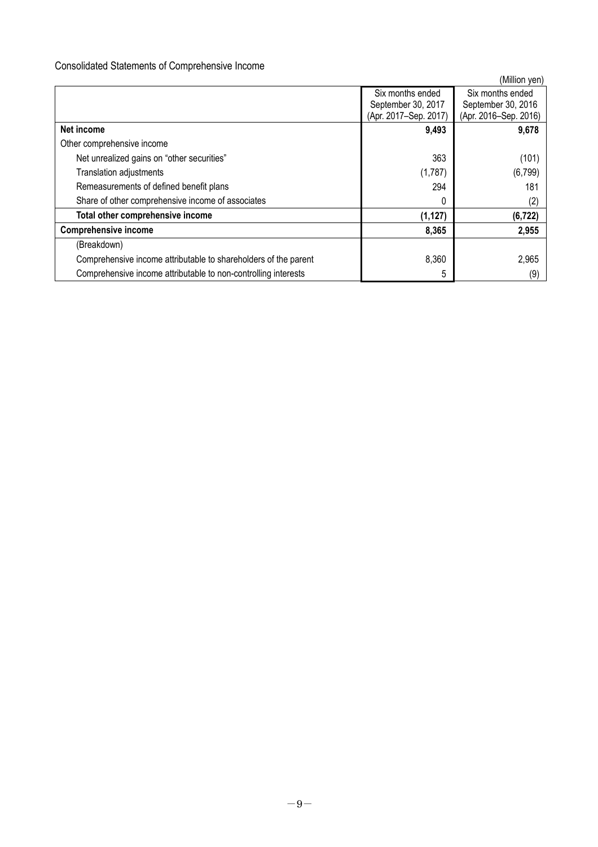## Consolidated Statements of Comprehensive Income

|                                                                 |                       | (Million yen)         |
|-----------------------------------------------------------------|-----------------------|-----------------------|
|                                                                 | Six months ended      | Six months ended      |
|                                                                 | September 30, 2017    | September 30, 2016    |
|                                                                 | (Apr. 2017-Sep. 2017) | (Apr. 2016–Sep. 2016) |
| Net income                                                      | 9,493                 | 9,678                 |
| Other comprehensive income                                      |                       |                       |
| Net unrealized gains on "other securities"                      | 363                   | (101)                 |
| <b>Translation adjustments</b>                                  | (1,787)               | (6, 799)              |
| Remeasurements of defined benefit plans                         | 294                   | 181                   |
| Share of other comprehensive income of associates               | 0                     | (2)                   |
| Total other comprehensive income                                | (1, 127)              | (6, 722)              |
| <b>Comprehensive income</b>                                     | 8,365                 | 2,955                 |
| (Breakdown)                                                     |                       |                       |
| Comprehensive income attributable to shareholders of the parent | 8,360                 | 2,965                 |
| Comprehensive income attributable to non-controlling interests  | 5                     | (9)                   |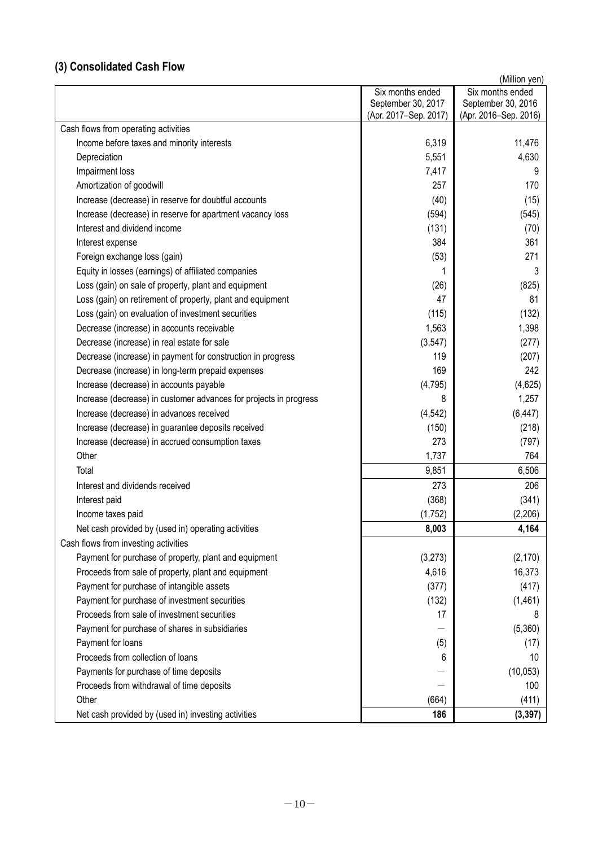## **(3) Consolidated Cash Flow**

|                                                                   |                       | (Million yen)         |
|-------------------------------------------------------------------|-----------------------|-----------------------|
|                                                                   | Six months ended      | Six months ended      |
|                                                                   | September 30, 2017    | September 30, 2016    |
|                                                                   | (Apr. 2017–Sep. 2017) | (Apr. 2016–Sep. 2016) |
| Cash flows from operating activities                              |                       |                       |
| Income before taxes and minority interests                        | 6,319                 | 11,476                |
| Depreciation                                                      | 5,551                 | 4,630                 |
| Impairment loss                                                   | 7,417                 | 9                     |
| Amortization of goodwill                                          | 257                   | 170                   |
| Increase (decrease) in reserve for doubtful accounts              | (40)                  | (15)                  |
| Increase (decrease) in reserve for apartment vacancy loss         | (594)                 | (545)                 |
| Interest and dividend income                                      | (131)                 | (70)                  |
| Interest expense                                                  | 384                   | 361                   |
| Foreign exchange loss (gain)                                      | (53)                  | 271                   |
| Equity in losses (earnings) of affiliated companies               |                       | 3                     |
| Loss (gain) on sale of property, plant and equipment              | (26)                  | (825)                 |
| Loss (gain) on retirement of property, plant and equipment        | 47                    | 81                    |
| Loss (gain) on evaluation of investment securities                | (115)                 | (132)                 |
| Decrease (increase) in accounts receivable                        | 1,563                 | 1,398                 |
| Decrease (increase) in real estate for sale                       | (3, 547)              | (277)                 |
| Decrease (increase) in payment for construction in progress       | 119                   | (207)                 |
| Decrease (increase) in long-term prepaid expenses                 | 169                   | 242                   |
| Increase (decrease) in accounts payable                           | (4, 795)              | (4,625)               |
| Increase (decrease) in customer advances for projects in progress | 8                     | 1,257                 |
| Increase (decrease) in advances received                          | (4, 542)              | (6, 447)              |
| Increase (decrease) in guarantee deposits received                | (150)                 | (218)                 |
| Increase (decrease) in accrued consumption taxes                  | 273                   | (797)                 |
| Other                                                             | 1,737                 | 764                   |
| Total                                                             | 9,851                 | 6,506                 |
| Interest and dividends received                                   | 273                   | 206                   |
| Interest paid                                                     | (368)                 | (341)                 |
| Income taxes paid                                                 | (1,752)               | (2,206)               |
| Net cash provided by (used in) operating activities               | 8,003                 | 4,164                 |
| Cash flows from investing activities                              |                       |                       |
| Payment for purchase of property, plant and equipment             | (3,273)               | (2, 170)              |
| Proceeds from sale of property, plant and equipment               | 4,616                 | 16,373                |
| Payment for purchase of intangible assets                         | (377)                 | (417)                 |
| Payment for purchase of investment securities                     | (132)                 | (1,461)               |
| Proceeds from sale of investment securities                       | 17                    | 8                     |
| Payment for purchase of shares in subsidiaries                    |                       | (5,360)               |
| Payment for loans                                                 | (5)                   | (17)                  |
| Proceeds from collection of loans                                 | 6                     | 10                    |
| Payments for purchase of time deposits                            |                       | (10, 053)             |
| Proceeds from withdrawal of time deposits                         |                       | 100                   |
| Other                                                             | (664)                 | (411)                 |
| Net cash provided by (used in) investing activities               | 186                   | (3, 397)              |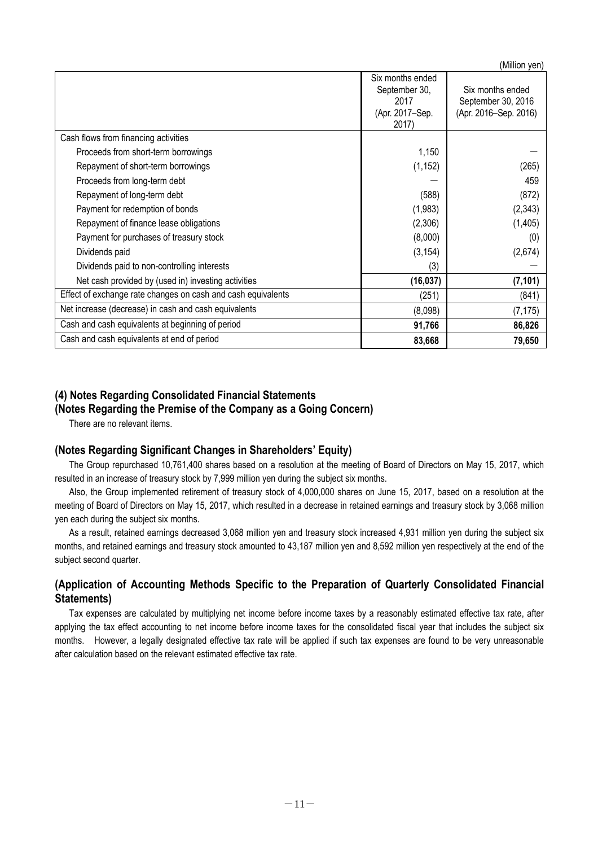(Million yen)

|                                                              | Six months ended<br>September 30,<br>2017<br>(Apr. 2017–Sep.<br>2017) | Six months ended<br>September 30, 2016<br>(Apr. 2016–Sep. 2016) |
|--------------------------------------------------------------|-----------------------------------------------------------------------|-----------------------------------------------------------------|
| Cash flows from financing activities                         |                                                                       |                                                                 |
| Proceeds from short-term borrowings                          | 1,150                                                                 |                                                                 |
| Repayment of short-term borrowings                           | (1, 152)                                                              | (265)                                                           |
| Proceeds from long-term debt                                 |                                                                       | 459                                                             |
| Repayment of long-term debt                                  | (588)                                                                 | (872)                                                           |
| Payment for redemption of bonds                              | (1,983)                                                               | (2, 343)                                                        |
| Repayment of finance lease obligations                       | (2,306)                                                               | (1, 405)                                                        |
| Payment for purchases of treasury stock                      | (8,000)                                                               | (0)                                                             |
| Dividends paid                                               | (3, 154)                                                              | (2,674)                                                         |
| Dividends paid to non-controlling interests                  | (3)                                                                   |                                                                 |
| Net cash provided by (used in) investing activities          | (16,037)                                                              | (7, 101)                                                        |
| Effect of exchange rate changes on cash and cash equivalents | (251)                                                                 | (841)                                                           |
| Net increase (decrease) in cash and cash equivalents         | (8,098)                                                               | (7, 175)                                                        |
| Cash and cash equivalents at beginning of period             | 91,766                                                                | 86,826                                                          |
| Cash and cash equivalents at end of period                   | 83,668                                                                | 79,650                                                          |

## **(4) Notes Regarding Consolidated Financial Statements (Notes Regarding the Premise of the Company as a Going Concern)**

There are no relevant items.

## **(Notes Regarding Significant Changes in Shareholders' Equity)**

The Group repurchased 10,761,400 shares based on a resolution at the meeting of Board of Directors on May 15, 2017, which resulted in an increase of treasury stock by 7,999 million yen during the subject six months.

Also, the Group implemented retirement of treasury stock of 4,000,000 shares on June 15, 2017, based on a resolution at the meeting of Board of Directors on May 15, 2017, which resulted in a decrease in retained earnings and treasury stock by 3,068 million yen each during the subject six months.

As a result, retained earnings decreased 3,068 million yen and treasury stock increased 4,931 million yen during the subject six months, and retained earnings and treasury stock amounted to 43,187 million yen and 8,592 million yen respectively at the end of the subject second quarter.

## **(Application of Accounting Methods Specific to the Preparation of Quarterly Consolidated Financial Statements)**

Tax expenses are calculated by multiplying net income before income taxes by a reasonably estimated effective tax rate, after applying the tax effect accounting to net income before income taxes for the consolidated fiscal year that includes the subject six months. However, a legally designated effective tax rate will be applied if such tax expenses are found to be very unreasonable after calculation based on the relevant estimated effective tax rate.